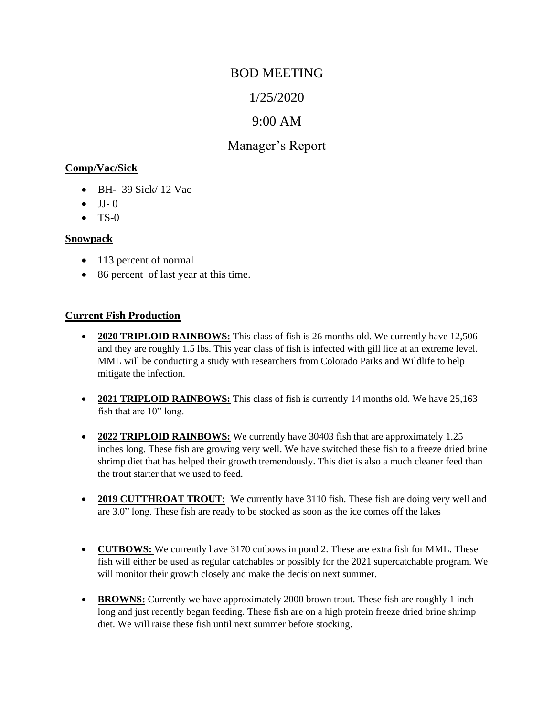# BOD MEETING

# 1/25/2020

# 9:00 AM

# Manager's Report

#### **Comp/Vac/Sick**

- BH- 39 Sick/ 12 Vac
- $\bullet$  JJ-0
- $\bullet$  TS-0

#### **Snowpack**

- 113 percent of normal
- 86 percent of last year at this time.

## **Current Fish Production**

- **2020 TRIPLOID RAINBOWS:** This class of fish is 26 months old. We currently have 12,506 and they are roughly 1.5 lbs. This year class of fish is infected with gill lice at an extreme level. MML will be conducting a study with researchers from Colorado Parks and Wildlife to help mitigate the infection.
- **2021 TRIPLOID RAINBOWS:** This class of fish is currently 14 months old. We have 25,163 fish that are 10" long.
- **2022 TRIPLOID RAINBOWS:** We currently have 30403 fish that are approximately 1.25 inches long. These fish are growing very well. We have switched these fish to a freeze dried brine shrimp diet that has helped their growth tremendously. This diet is also a much cleaner feed than the trout starter that we used to feed.
- **2019 CUTTHROAT TROUT:** We currently have 3110 fish. These fish are doing very well and are 3.0" long. These fish are ready to be stocked as soon as the ice comes off the lakes
- **CUTBOWS:** We currently have 3170 cutbows in pond 2. These are extra fish for MML. These fish will either be used as regular catchables or possibly for the 2021 supercatchable program. We will monitor their growth closely and make the decision next summer.
- **BROWNS:** Currently we have approximately 2000 brown trout. These fish are roughly 1 inch long and just recently began feeding. These fish are on a high protein freeze dried brine shrimp diet. We will raise these fish until next summer before stocking.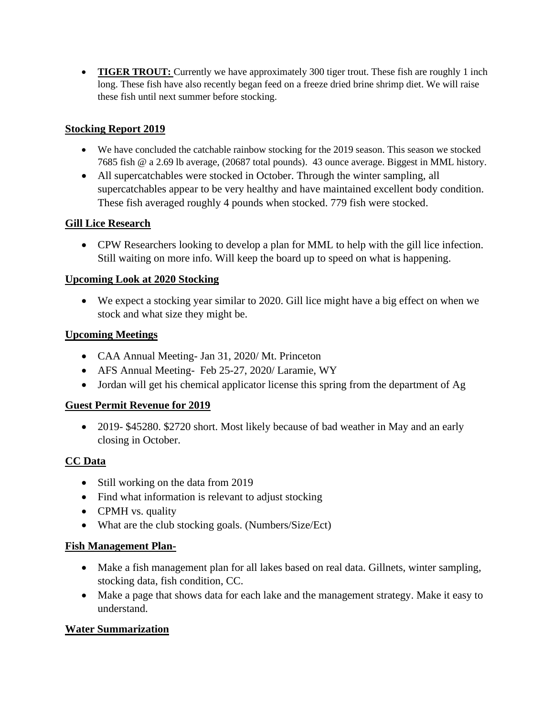• **TIGER TROUT:** Currently we have approximately 300 tiger trout. These fish are roughly 1 inch long. These fish have also recently began feed on a freeze dried brine shrimp diet. We will raise these fish until next summer before stocking.

## **Stocking Report 2019**

- We have concluded the catchable rainbow stocking for the 2019 season. This season we stocked 7685 fish @ a 2.69 lb average, (20687 total pounds). 43 ounce average. Biggest in MML history.
- All supercatchables were stocked in October. Through the winter sampling, all supercatchables appear to be very healthy and have maintained excellent body condition. These fish averaged roughly 4 pounds when stocked. 779 fish were stocked.

# **Gill Lice Research**

• CPW Researchers looking to develop a plan for MML to help with the gill lice infection. Still waiting on more info. Will keep the board up to speed on what is happening.

## **Upcoming Look at 2020 Stocking**

• We expect a stocking year similar to 2020. Gill lice might have a big effect on when we stock and what size they might be.

## **Upcoming Meetings**

- CAA Annual Meeting- Jan 31, 2020/ Mt. Princeton
- AFS Annual Meeting- Feb 25-27, 2020/ Laramie, WY
- Jordan will get his chemical applicator license this spring from the department of Ag

## **Guest Permit Revenue for 2019**

• 2019- \$45280. \$2720 short. Most likely because of bad weather in May and an early closing in October.

# **CC Data**

- Still working on the data from 2019
- Find what information is relevant to adjust stocking
- CPMH vs. quality
- What are the club stocking goals. (Numbers/Size/Ect)

## **Fish Management Plan-**

- Make a fish management plan for all lakes based on real data. Gillnets, winter sampling, stocking data, fish condition, CC.
- Make a page that shows data for each lake and the management strategy. Make it easy to understand.

# **Water Summarization**